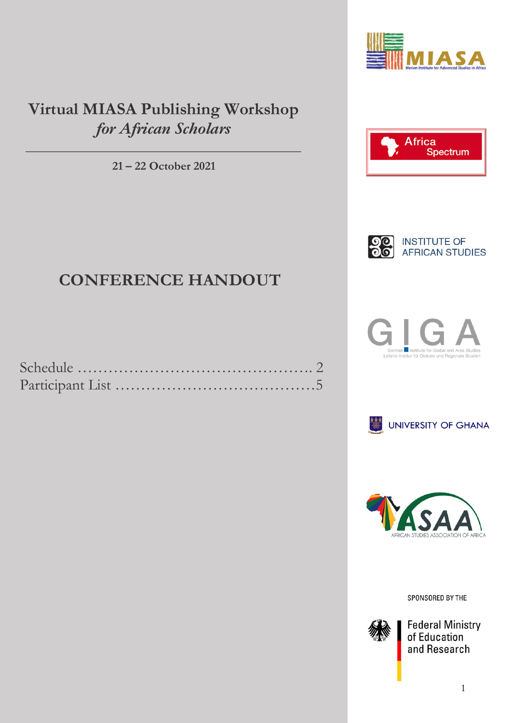

## **Virtual MIASA Publishing Workshop** *for African Scholars*

**21 – 22 October 2021**





# **CONFERENCE HANDOUT**







SPONSORED BY THE



**Federal Ministry**<br>of Education and Research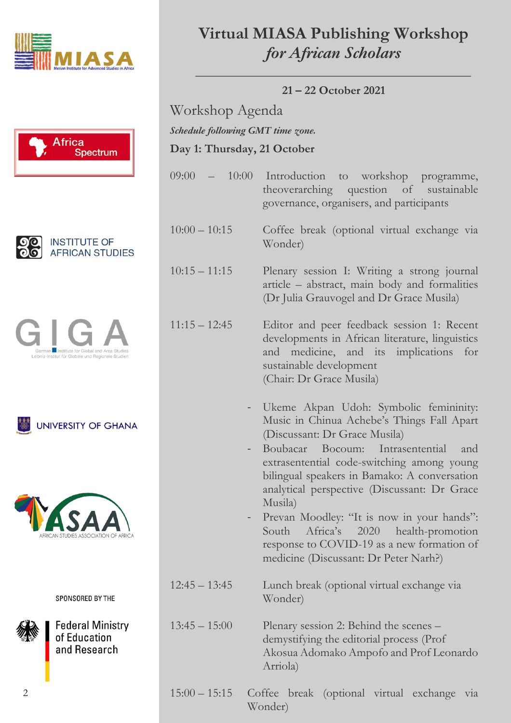











SPONSORED BY THE



**Federal Ministry** of Education and Research

# **Virtual MIASA Publishing Workshop** *for African Scholars*

**21 – 22 October 2021**

Workshop Agenda **Day 1: Thursday, 21 October**  *Schedule following GMT time zone.* 

- 09:00 10:00 Introduction to workshop programme, theoverarching question of sustainable governance, organisers, and participants
- 10:00 10:15 Coffee break (optional virtual exchange via Wonder)
- 10:15 11:15 Plenary session I: Writing a strong journal article – abstract, main body and formalities (Dr Julia Grauvogel and Dr Grace Musila)
- 11:15 12:45 Editor and peer feedback session 1: Recent developments in African literature, linguistics and medicine, and its implications for sustainable development (Chair: Dr Grace Musila)
	- Ukeme Akpan Udoh: Symbolic femininity: Music in Chinua Achebe's Things Fall Apart (Discussant: Dr Grace Musila)
	- Boubacar Bocoum: Intrasentential and extrasentential code-switching among young bilingual speakers in Bamako: A conversation analytical perspective (Discussant: Dr Grace Musila)
	- Prevan Moodley: "It is now in your hands": South Africa's 2020 health-promotion response to COVID-19 as a new formation of medicine (Discussant: Dr Peter Narh?)
- 12:45 13:45 Lunch break (optional virtual exchange via Wonder)

13:45 – 15:00 Plenary session 2: Behind the scenes – demystifying the editorial process (Prof Akosua Adomako Ampofo and Prof Leonardo Arriola)

15:00 – 15:15 Coffee break (optional virtual exchange via Wonder)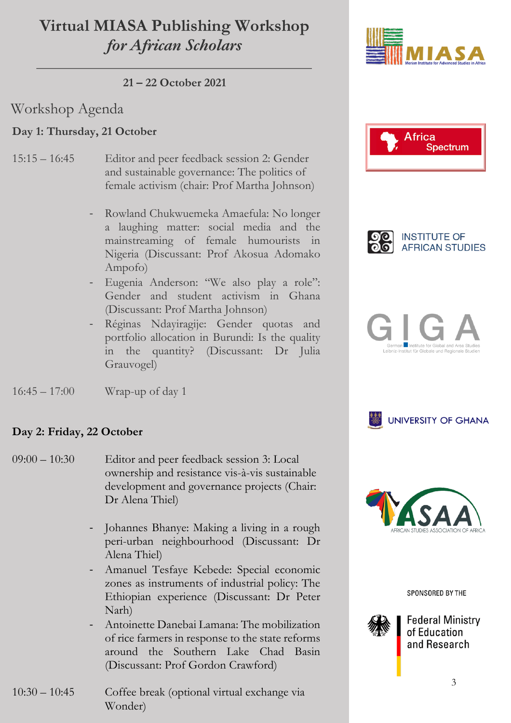## **Virtual MIASA Publishing Workshop** *for African Scholars*

**21 – 22 October 2021**

### Workshop Agenda

#### **Day 1: Thursday, 21 October**

- 15:15 16:45 Editor and peer feedback session 2: Gender and sustainable governance: The politics of female activism (chair: Prof Martha Johnson)
	- Rowland Chukwuemeka Amaefula: No longer a laughing matter: social media and the mainstreaming of female humourists in Nigeria (Discussant: Prof Akosua Adomako Ampofo)
	- Eugenia Anderson: "We also play a role": Gender and student activism in Ghana (Discussant: Prof Martha Johnson)
	- Réginas Ndayiragije: Gender quotas and portfolio allocation in Burundi: Is the quality in the quantity? (Discussant: Dr Julia Grauvogel)



#### **Day 2: Friday, 22 October**

- 09:00 10:30 Editor and peer feedback session 3: Local ownership and resistance vis-à-vis sustainable development and governance projects (Chair: Dr Alena Thiel)
	- Johannes Bhanye: Making a living in a rough peri-urban neighbourhood (Discussant: Dr Alena Thiel)
	- Amanuel Tesfaye Kebede: Special economic zones as instruments of industrial policy: The Ethiopian experience (Discussant: Dr Peter Narh)
	- Antoinette Danebai Lamana: The mobilization of rice farmers in response to the state reforms around the Southern Lake Chad Basin (Discussant: Prof Gordon Crawford)













SPONSORED BY THE



**Federal Ministry** of Education and Research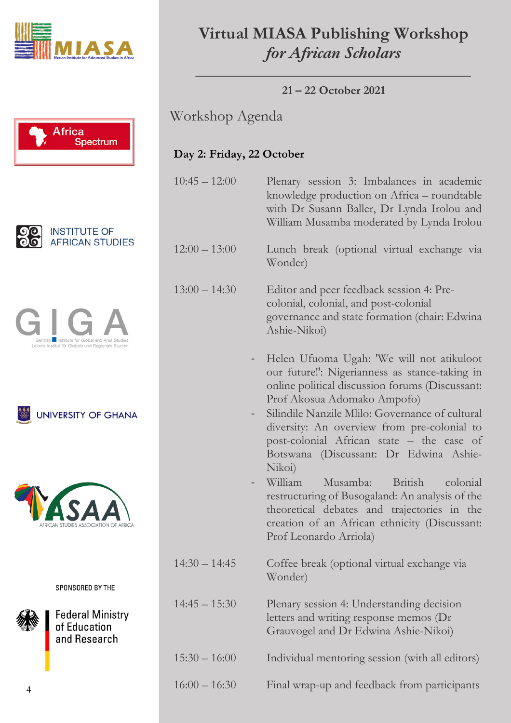











SPONSORED BY THE

**Federal Ministry** of Education and Research

# **Virtual MIASA Publishing Workshop** *for African Scholars*

**21 – 22 October 2021**

Workshop Agenda

### **Day 2: Friday, 22 October**

10:45 – 12:00 Plenary session 3: Imbalances in academic knowledge production on Africa – roundtable with Dr Susann Baller, Dr Lynda Irolou and William Musamba moderated by Lynda Irolou

12:00 – 13:00 Lunch break (optional virtual exchange via Wonder)

13:00 – 14:30 Editor and peer feedback session 4: Precolonial, colonial, and post-colonial governance and state formation (chair: Edwina Ashie-Nikoi)

> - Helen Ufuoma Ugah: 'We will not atikuloot our future!': Nigerianness as stance-taking in online political discussion forums (Discussant: Prof Akosua Adomako Ampofo)

> Silindile Nanzile Mlilo: Governance of cultural diversity: An overview from pre-colonial to post-colonial African state – the case of Botswana (Discussant: Dr Edwina Ashie-Nikoi)

> - William Musamba: British colonial restructuring of Busogaland: An analysis of the theoretical debates and trajectories in the creation of an African ethnicity (Discussant: Prof Leonardo Arriola)

14:30 – 14:45 Coffee break (optional virtual exchange via Wonder)

14:45 – 15:30 Plenary session 4: Understanding decision letters and writing response memos (Dr Grauvogel and Dr Edwina Ashie-Nikoi)

15:30 – 16:00 Individual mentoring session (with all editors)

16:00 – 16:30 Final wrap-up and feedback from participants